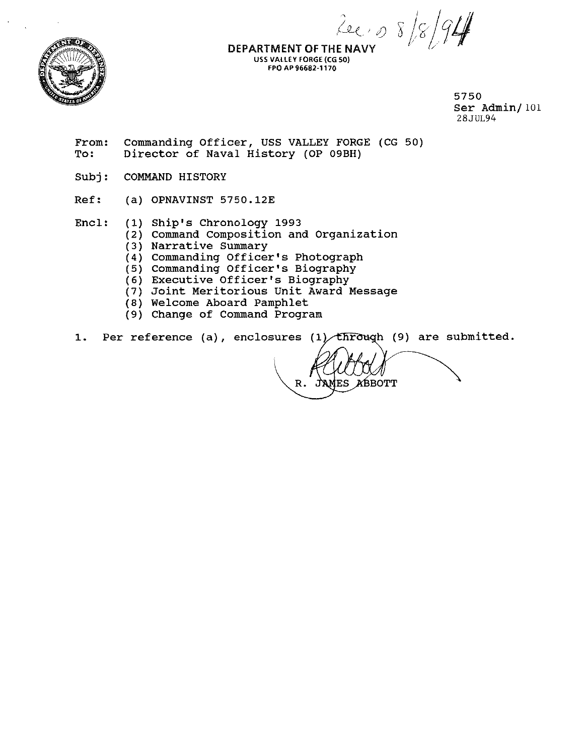$2e, p$ 



DEPARTMENT OF THE NAVY USS VALLEY FORGE (CG 50) FPO AP 96682-1170

> 5750 Ser Admin/ 101 28JUL94

From: Commanding Officer, USS VALLEY FORGE (CG 50)<br>To: Director of Naval History (OP 09BH) Director of Naval History (OP 09BH)

Subj: COMMAND HISTORY

Ref: (a) OPNAVINST 5750.12E

Encl: (1) Ship's Chronology 1993

(2) Command Composition and Organization

- (3) Narrative Summary
- (4) commanding Officer's Photograph
- (5) Commanding Officer's Biography
- (6) Executive Officer's Biography
- (7) Joint Meritorious Unit Award Message
- (8) Welcome Aboard Pamphlet
- (9) Change of Command Program

1. Per reference (a), enclosures  $(1)$  through (9) are submitted.

JAMES ABBOTT R.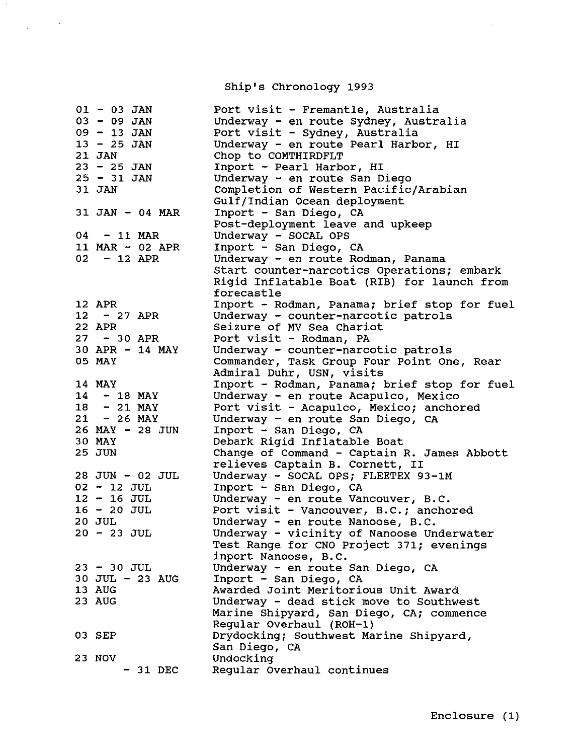Ship's Chronology 1993

 $\sim$ 

 $\label{eq:2.1} \frac{1}{\sqrt{2\pi}}\left(\frac{1}{\sqrt{2\pi}}\right)^{1/2}\frac{1}{\sqrt{2\pi}}\left(\frac{1}{\sqrt{2\pi}}\right)^{1/2}\frac{1}{\sqrt{2\pi}}\left(\frac{1}{\sqrt{2\pi}}\right)^{1/2}\frac{1}{\sqrt{2\pi}}\left(\frac{1}{\sqrt{2\pi}}\right)^{1/2}\frac{1}{\sqrt{2\pi}}\frac{1}{\sqrt{2\pi}}\frac{1}{\sqrt{2\pi}}\frac{1}{\sqrt{2\pi}}\frac{1}{\sqrt{2\pi}}\frac{1}{\sqrt{2\pi}}\frac{1}{\sqrt$ 

| $01 - 03$ JAN     | Port visit - Fremantle, Australia            |
|-------------------|----------------------------------------------|
| $03 - 09$ JAN     | Underway - en route Sydney, Australia        |
| $09 - 13$ JAN     | Port visit - Sydney, Australia               |
| $13 - 25$ JAN     | Underway - en route Pearl Harbor, HI         |
| 21 JAN            | Chop to COMTHIRDFLT                          |
| 23 - 25 JAN       | Inport - Pearl Harbor, HI                    |
| $25 - 31$ JAN     | Underway - en route San Diego                |
| 31 JAN            | Completion of Western Pacific/Arabian        |
|                   | Gulf/Indian Ocean deployment                 |
| $31$ JAN - 04 MAR | Inport - San Diego, CA                       |
|                   | Post-deployment leave and upkeep             |
| $04 - 11$ MAR     | Underway - SOCAL OPS                         |
| 11 MAR - 02 APR   | Inport - San Diego, CA                       |
| $02 - 12$ APR     | Underway - en route Rodman, Panama           |
|                   | Start counter-narcotics Operations; embark   |
|                   |                                              |
|                   | Rigid Inflatable Boat (RIB) for launch from  |
|                   | forecastle                                   |
| 12 APR            | Inport - Rodman, Panama; brief stop for fuel |
| $12 - 27$ APR     | Underway - counter-narcotic patrols          |
| 22 APR            | Seizure of MV Sea Chariot                    |
| $27 - 30$ APR     | Port visit - Rodman, PA                      |
| $30$ APR - 14 MAY | Underway - counter-narcotic patrols          |
| 05 MAY            | Commander, Task Group Four Point One, Rear   |
|                   | Admiral Duhr, USN, visits                    |
| 14 MAY            | Inport - Rodman, Panama; brief stop for fuel |
| $14 - 18$ MAY     | Underway - en route Acapulco, Mexico         |
| $18 - 21$ MAY     | Port visit - Acapulco, Mexico; anchored      |
| $21 - 26$ MAY     | Underway - en route San Diego, CA            |
| 26 MAY - 28 JUN   | Inport - San Diego, CA                       |
| 30 MAY            | Debark Rigid Inflatable Boat                 |
| <b>25 JUN</b>     | Change of Command - Captain R. James Abbott  |
|                   |                                              |
|                   | relieves Captain B. Cornett, II              |
| 28 JUN - 02 JUL   | Underway - SOCAL OPS; FLEETEX 93-1M          |
| $02 - 12$ JUL     | Inport - San Diego, CA                       |
| $12 - 16$ JUL     | Underway - en route Vancouver, B.C.          |
| $16 - 20$ JUL     | Port visit - Vancouver, B.C.; anchored       |
| 20 JUL            | Underway - en route Nanoose, B.C.            |
| $20 - 23$ JUL     | Underway - vicinity of Nanoose Underwater    |
|                   | Test Range for CNO Project 371; evenings     |
|                   | inport Nanoose, B.C.                         |
| $23 - 30$ JUL     | Underway - en route San Diego, CA            |
| 30 JUL - 23 AUG   | Inport - San Diego, CA                       |
| 13 AUG            | Awarded Joint Meritorious Unit Award         |
| 23 AUG            | Underway - dead stick move to Southwest      |
|                   | Marine Shipyard, San Diego, CA; commence     |
|                   | Regular Overhaul (ROH-1)                     |
|                   |                                              |
| 03 SEP            | Drydocking; Southwest Marine Shipyard,       |
|                   | San Diego, CA                                |
| 23 NOV            | Undocking                                    |
| $-31$ DEC         | Regular Overhaul continues                   |

 $\sim 10^6$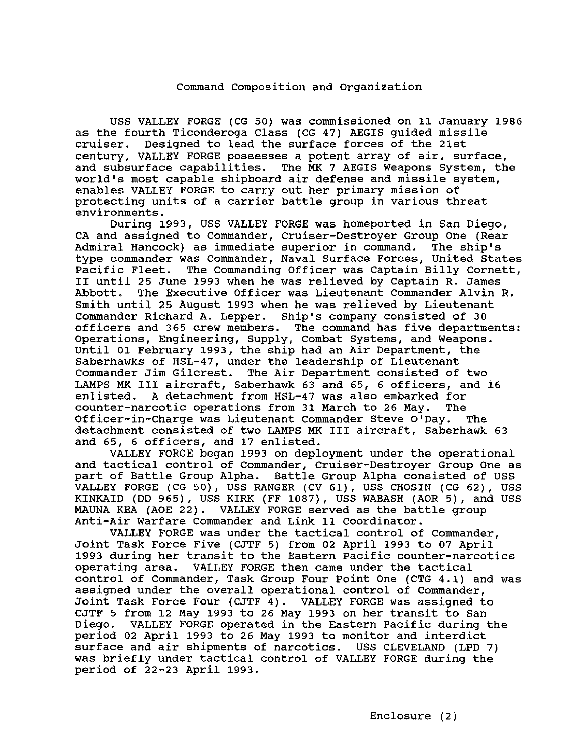## Command Composition and Organization

USS VALLEY FORGE (CG 50) was commissioned on 11 January 1986 as the fourth Ticonderoga Class (CG 47) AEGIS guided missile<br>cruiser. Designed to lead the surface forces of the 21st Designed to lead the surface forces of the 21st century, VALLEY FORGE possesses a potent array of air, surface, and subsurface capabilities. The MK 7 AEGIS Weapons System, the world's most capable shipboard air defense and missile system, enables VALLEY FORGE to carry out her primary mission of protecting units of a carrier battle group in various threat environments.

During 1993, USS VALLEY FORGE was homeported in San Diego, CA and assigned to Commander, Cruiser-Destroyer Group One (Rear<br>Admiral Hancock) as immediate superior in command. The ship's Admiral Hancock) as immediate superior in command. type commander was Commander, Naval Surface Forces, United states Pacific Fleet. The Commanding Officer was Captain Billy Cornett, II until 25 June 1993 when he was relieved by Captain R. James The Executive Officer was Lieutenant Commander Alvin R. Smith until 25 August 1993 when he was relieved by Lieutenant Commander Richard A. Lepper. Ship's company consisted of 30 The command has five departments: Operations, Engineering, Supply, Combat systems, and Weapons. Until 01 February 1993, the ship had an Air Department, the Saberhawks of HSL-47, under the leadership of Lieutenant Commander Jim Gilcrest. The Air Department consisted of two LAMPS MK III aircraft, Saberhawk 63 and 65, 6 officers, and 16 enlisted. A detachment from HSL-47 was also embarked for counter-narcotic operations from 31 March to 26 May. The Officer-in-Charge was Lieutenant Commander Steve O'Day. The detachment consisted of two LAMPS MK III aircraft, Saberhawk 63 and 65, 6 officers, and 17 enlisted.

VALLEY FORGE began 1993 on deployment under the operational and tactical control of Commander, Cruiser-Destroyer Group One as part of Battle Group Alpha. Battle Group Alpha consisted of USS VALLEY FORGE (CG 50), USS RANGER (CV 61), USS CHOSIN (CG 62), USS KINKAID (DD 965), USS KIRK (FF 1087), USS WABASH (AOR 5), and USS MAUNA KEA (AOE 22). VALLEY FORGE served as the battle group Anti-Air Warfare Commander and Link 11 coordinator.

VALLEY FORGE was under the tactical control of Commander, Joint Task Force Five (CJTF 5) from 02 April 1993 to 07 April 1993 during her transit to the Eastern Pacific counter-narcotics VALLEY FORGE then came under the tactical control of Commander, Task Group Four Point One (CTG 4.1) and was assigned under the overall operational control of Commander, Joint Task Force Four (CJTF 4). VALLEY FORGE was assigned to CJTF 5 from 12 May 1993 to 26 May 1993 on her transit to San VALLEY FORGE operated in the Eastern Pacific during the period 02 April 1993 to 26 May 1993 to monitor and interdict surface and air shipments of narcotics. USS CLEVELAND (LPD 7) was briefly under tactical control of VALLEY FORGE during the period of 22-23 April 1993.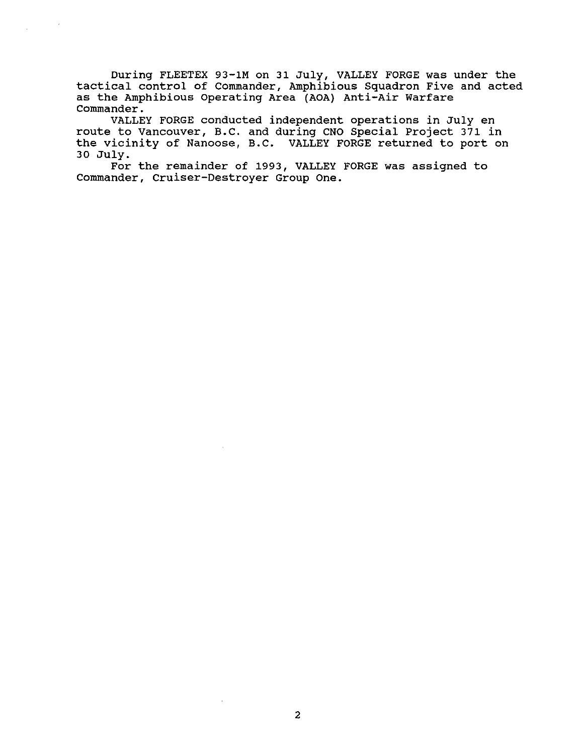During FLEETEX 93-lM on 31 July, VALLEY FORGE was under the tactical control of Commander, Amphibious Squadron Five and acted as the Amphibious operating Area (AOA) Anti-Air Warfare Commander.

VALLEY FORGE conducted independent operations in July en route to Vancouver, B.C. and during CNO Special Project 371 in the vicinity of Nanoose, B.C. VALLEY FORGE returned to port on 30 July.

For the remainder of 1993, VALLEY FORGE was assigned to Commander, Cruiser-Destroyer Group One.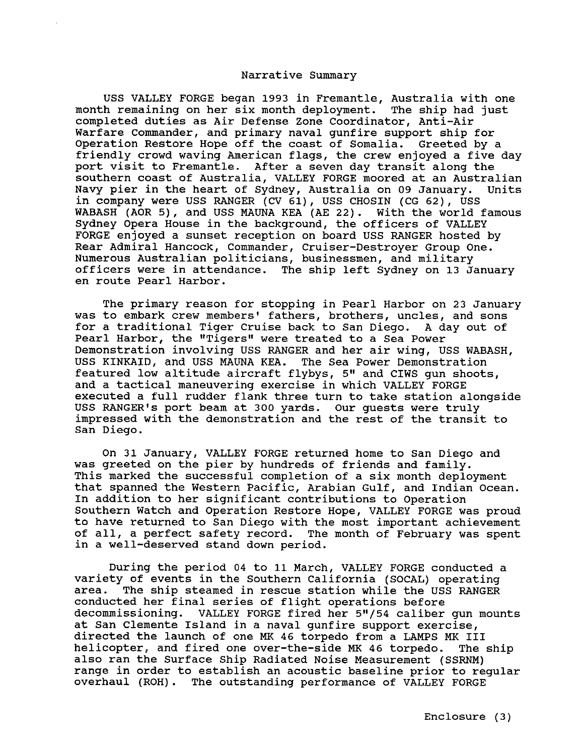## Narrative Summary

USS VALLEY FORGE began 1993 in Fremantle, Australia with one month remaining on her six month deployment. The ship had just completed duties as Air Defense Zone Coordinator, Anti-Air Warfare Commander, and primary naval gunfire support ship for Operation Restore Hope off the coast of Somalia. Greeted by a friendly crowd waving American flags, the crew enjoyed a five day port visit to Fremantle. After a seven day transit along the southern coast of Australia, VALLEY FORGE moored at an Australian Navy pier in the heart of Sydney, Australia on 09 January. Units in company were USS RANGER (CV 61), USS CHOSIN (CG 62), USS WABASH (AOR 5), and USS MAUNA KEA (AE 22). With the world famous Sydney Opera House in the background, the officers of VALLEY FORGE enjoyed a sunset reception on board USS RANGER hosted by Rear Admiral Hancock, Commander, Cruiser-Destroyer Group One. Numerous Australian politicians, businessmen, and military officers were in attendance. The ship left Sydney on 13 January en route Pearl Harbor.

The primary reason for stopping in Pearl Harbor on 23 January was to embark crew members' fathers, brothers, uncles, and sons for a traditional Tiger Cruise back to San Diego. A day out of Pearl Harbor, the "Tigers" were treated to a Sea Power Demonstration involving USS RANGER and her air wing, USS WABASH, USS KINKAID, and USS MAUNA KEA. The Sea Power Demonstration featured low altitude aircraft flybys, 5" and CIWS qun shoots, and a tactical maneuvering exercise in which VALLEY FORGE executed a full rudder flank three turn to take station alongside USS RANGER's port beam at 300 yards. Our guests were truly impressed with the demonstration and the rest of the transit to San Diego.

On 31 January, VALLEY FORGE returned home to San Diego and was greeted on the pier by hundreds of friends and family. This marked the successful completion of a six month deployment that spanned the Western Pacific, Arabian Gulf, and Indian Ocean. In addition to her significant contributions to Operation Southern Watch and Operation Restore Hope, VALLEY FORGE was proud to have returned to San Diego with the most important achievement of all, a perfect safety record. The month of February was spent in a well-deserved stand down period.

During the period 04 to 11 March, VALLEY FORGE conducted a variety of events in the Southern California (SOCAL) operating area. The ship steamed in rescue station while the USS RANGER conducted her final series of flight operations before decommissioning. VALLEY FORGE fired her 5"/54 caliber gun mounts at San Clemente Island in a naval gunfire support exercise, directed the launch of one MK 46 torpedo from a LAMPS MK III helicopter, and fired one over-the-side MK 46 torpedo. The ship also ran the Surface Ship Radiated Noise Measurement (SSRNM) range in order to establish an acoustic baseline prior to regular overhaul (ROH). The outstanding performance of VALLEY FORGE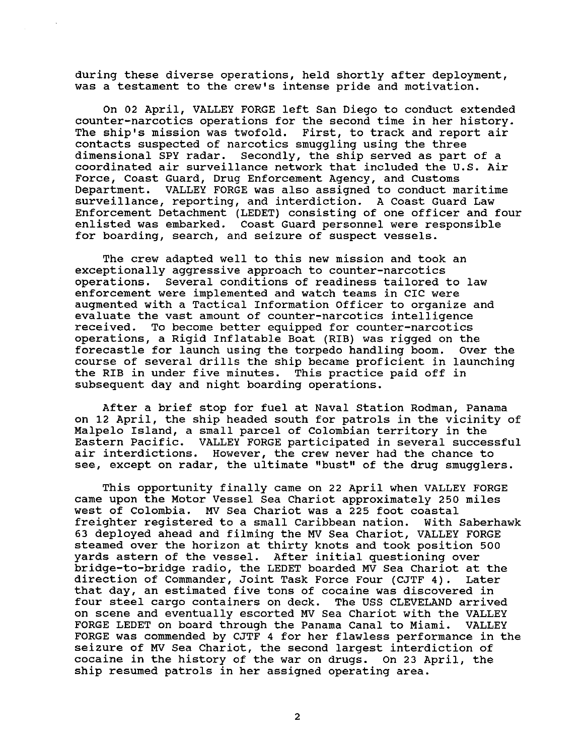during these diverse operations, held shortly after deployment, was a testament to the crew's intense pride and motivation.

On 02 April, VALLEY FORGE left San Diego to conduct extended counter-narcotics operations for the second time in her history. The ship's mission was twofold. First, to track and report air contacts suspected of narcotics smuggling using the three dimensional SPY radar. Secondly, the ship served as part of a coordinated air surveillance network that included the U.S. Air Force, Coast Guard, Drug Enforcement Agency, and Customs Department. VALLEY FORGE was also assigned to conduct maritime surveillance, reporting, and interdiction. A Coast Guard Law Enforcement Detachment (LEDET) consisting of one officer and four enlisted was embarked. Coast Guard personnel were responsible for boarding, search, and seizure of suspect vessels.

The crew adapted well to this new mission and took an exceptionally aggressive approach to counter-narcotics operations. Several conditions of readiness tailored to law enforcement were implemented and watch teams in CIC were augmented with a Tactical Information Officer to organize and evaluate the vast amount of counter-narcotics intelligence To become better equipped for counter-narcotics operations, a Rigid Inflatable Boat (RIB) was rigged on the forecastle for launch using the torpedo handling boom. Over the course of several drills the ship became proficient in launching the RIB in under five minutes. This practice paid off in subsequent day and night boarding operations.

After a brief stop for fuel at Naval Station Rodman, Panama on 12 April, the ship headed south for patrols in the vicinity of Malpelo Island, a small parcel of Colombian territory in the Eastern Pacific. VALLEY FORGE participated in several successful air interdictions. However, the crew never had the chance to see, except on radar, the ultimate "bust" of the drug smugglers.

This opportunity finally came on 22 April when VALLEY FORGE came upon the Motor Vessel Sea Chariot approximately 250 miles west of Colombia. MV Sea Chariot was a 225 foot coastal freighter registered to a small Caribbean nation. With Saberhawk 63 deployed ahead and filming the MV Sea Chariot, VALLEY FORGE steamed over the horizon at thirty knots and took position 500 yards astern of the vessel. After initial questioning over bridge-to-bridge radio, the LEDET boarded MV Sea Chariot at the<br>direction of Commander, Joint Task Force Four (CJTF 4). Later direction of Commander, Joint Task Force Four (CJTF 4). Later affection of commander, coinc fack rofee roaf (coin 4). Eater four steel cargo containers on deck. The USS CLEVELAND arrived on scene and eventually escorted MV Sea Chariot with the VALLEY FORGE LEDET on board through the Panama Canal to Miami. VALLEY FORGE was commended by CJTF 4 for her flawless performance in the seizure of MV Sea Chariot, the second largest interdiction of cocaine in the history of the war on drugs. On 23 April, the ship resumed patrols in her assigned operating area.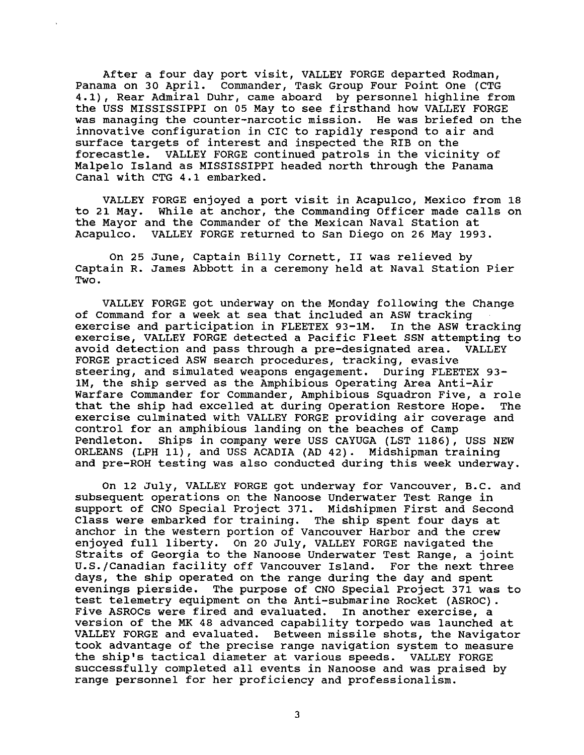After a four day port visit, VALLEY FORGE departed Rodman, Panama on 30 April. Commander, Task Group Four Point One (CTG 4.1), Rear Admiral Duhr, came aboard by personnel highline from the USS MISSISSIPPI on 05 May to see firsthand how VALLEY FORGE was managing the counter-narcotic mission. He was briefed on the innovative configuration in CIC to rapidly respond to air and surface targets of interest and inspected the RIB on the forecastle. VALLEY FORGE continued patrols in the vicinity of Malpelo Island as MISSISSIPPI headed north through the Panama Canal with CTG 4.1 embarked.

VALLEY FORGE enjoyed a port visit in Acapulco, Mexico from 18 to 21 May. While at anchor, the Commanding Officer made calls on the Mayor and the Commander of the Mexican Naval station at Acapulco. VALLEY FORGE returned to San Diego on 26 May 1993.

On 25 June, Captain Billy Cornett, II was relieved by Captain R. James Abbott in a ceremony held at Naval Station Pier Two.

VALLEY FORGE got underway on the Monday following the Change of Command for a week at sea that included an ASW tracking<br>exercise and participation in FLEETEX 93-1M. In the ASW tracking exercise and participation in FLEETEX 93-1M. exercise, VALLEY FORGE detected a Pacific Fleet SSN attempting to avoid detection and pass through a pre-designated area. VALLEY avoid detection and pass through a pre-designated area. FORGE practiced ASW search procedures, tracking, evasive steering, and simulated weapons engagement. During FLEETEX 93 lM, the ship served as the Amphibious Operating Area Anti-Air Warfare Commander for Commander, Amphibious Squadron Five, a role that the ship had excelled at during Operation Restore Hope. exercise culminated with VALLEY FORGE providing air coverage and control for an amphibious landing on the beaches of Camp Pendleton. Ships in company were USS CAYUGA (LST 1186), USS NEW ORLEANS (LPH 11), and USS ACADIA (AD 42). Midshipman training and pre-ROH testing was also conducted during this week underway.

On 12 July, VALLEY FORGE got underway for Vancouver, B.c. and subsequent operations on the Nanoose Underwater Test Range in support of CNO Special Project 371. Midshipmen First and Second Class were embarked for training. The ship spent four days at anchor in the western portion of Vancouver Harbor and the crew enjoyed full liberty. On 20 July, VALLEY FORGE navigated the Straits of Georgia to the Nanoose Underwater Test Range, a joint U.S./Canadian facility off Vancouver Island. For the next three days, the ship operated on the range during the day and spent evenings pierside. The purpose of CNO Special Project 371 was to test telemetry equipment on the Anti-submarine Rocket (ASROC) . Five ASROCs were fired and evaluated. In another exercise, a version of the MK 48 advanced capability torpedo was launched at VALLEY FORGE and evaluated. Between missile shots, the Navigator took advantage of the precise range navigation system to measure the ship's tactical diameter at various speeds. VALLEY FORGE successfully completed all events in Nanoose and was praised by range personnel for her proficiency and professionalism.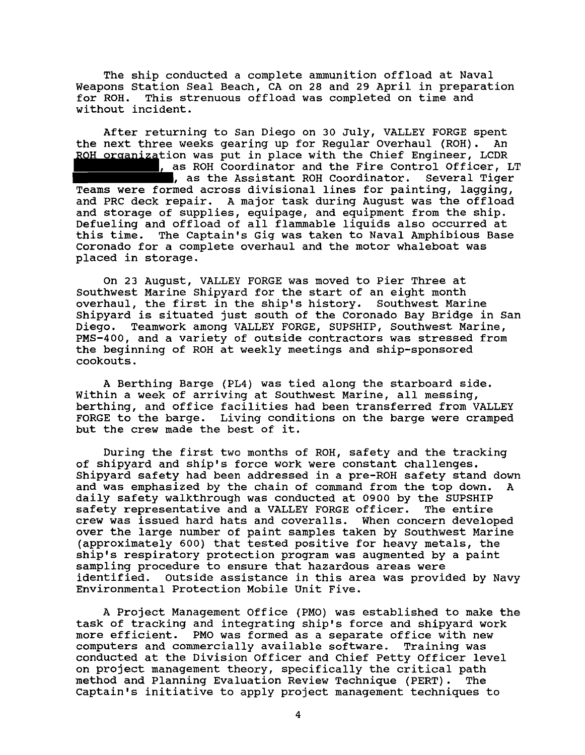The ship conducted a complete ammunition offload at Naval Weapons Station Seal Beach, CA on 28 and 29 April in preparation<br>for ROH. This strenuous offload was completed on time and This strenuous offload was completed on time and without incident.

After returning to San Diego on 30 July, VALLEY FORGE spent<br>next three weeks gearing up for Regular Overhaul (ROH). An the next three weeks gearing up for Regular Overhaul (ROH). ROH organization was put in place with the Chief Engineer, LCDR ............ as ROH Coordinator and the Fire Control Officer, LT , as the Assistant ROH Coordinator. Several Tiger Teams were formed across divisional lines for painting, lagging, and PRC deck repair. A major task during August was the offload and storage of supplies, equipage, and equipment from the ship. Defueling and offload of all flammable liquids also occurred at this time. The Captain's Gig was taken to Naval Amphibious Base Coronado for a complete overhaul and the motor whaleboat was placed in storage.

On 23 August, VALLEY FORGE was moved to Pier Three at Southwest Marine Shipyard for the start of an eight month overhaul, the first in the ship's history. Southwest Marine Shipyard is situated just south of the Coronado Bay Bridge in San<br>Diego. Teamwork among VALLEY FORGE, SUPSHIP, Southwest Marine, Teamwork among VALLEY FORGE, SUPSHIP, Southwest Marine, PMS-400, and a variety of outside contractors was stressed from the beginning of ROH at weekly meetings and ship-sponsored cookouts.

A Berthing Barge (PL4) was tied along the starboard side. Within a week of arriving at Southwest Marine, all messing, berthing, and office facilities had been transferred from VALLEY FORGE to the barge. Living conditions on the barge were cramped but the crew made the best of it.

During the first two months of ROH, safety and the tracking of shipyard and ship's force work were constant challenges. Shipyard safety had been addressed in a pre-ROH safety stand down and was emphasized by the chain of command from the top down. A daily safety walkthrough was conducted at 0900 by the SUPSHIP<br>safety representative and a VALLEY FORGE officer. The entire safety representative and a VALLEY FORGE officer. crew was issued hard hats and coveralls. When concern developed over the large number of paint samples taken by Southwest Marine (approximately 600) that tested positive for heavy metals, the ship's respiratory protection program was augmented by a paint sampling procedure to ensure that hazardous areas were identified. outside assistance in this area was provided by Navy Environmental Protection Mobile Unit Five.

A Project Management Office (PMO) was established to make the task of tracking and integrating ship's force and shipyard work more efficient. PMO was formed as a separate office with new<br>computers and commercially available software. Training was computers and commercially available software. conducted at the Division Officer and Chief Petty Officer level on project management theory, specifically the critical path<br>method and Planning Evaluation Review Technique (PERT). The method and Planning Evaluation Review Technique (PERT). Captain's initiative to apply project management techniques to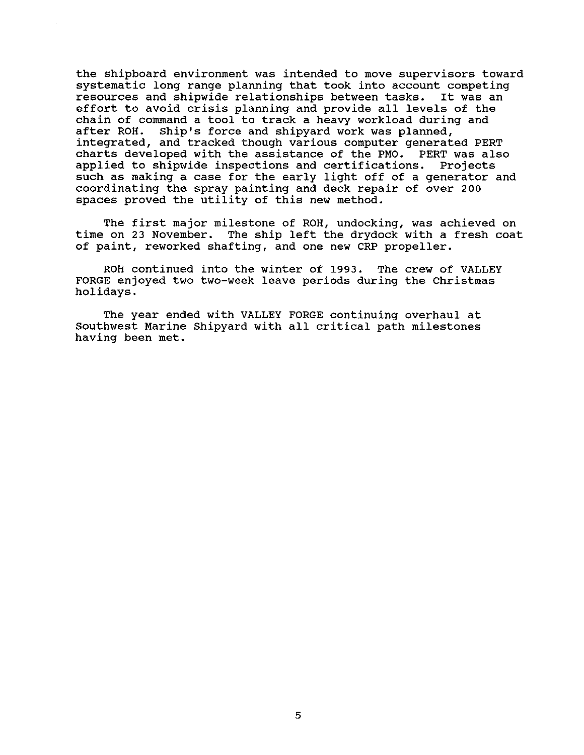the shipboard environment was intended to move supervisors toward systematic long range planning that took into account competing resources and shipwide relationships between tasks. It was an effort to avoid crisis planning and provide all levels of the chain of command a tool to track a heavy workload during and after ROH. Ship's force and shipyard work was planned, integrated, and tracked though various computer generated PERT charts developed with the assistance of the PMO. PERT was also applied to shipwide inspections and certifications. Projects such as making a case for the early light off of a generator and coordinating the spray painting and deck repair of over 200 spaces proved the utility of this new method.

The first major milestone of ROH, undocking, was achieved on time on 23 November. The ship left the drydock with a fresh coat of paint, reworked shafting, and one new CRP propeller.

ROH continued into the winter of 1993. The crew of VALLEY FORGE enjoyed two two-week leave periods during the Christmas holidays.

The year ended with VALLEY FORGE continuing overhaul at Southwest Marine Shipyard with all critical path milestones having been met.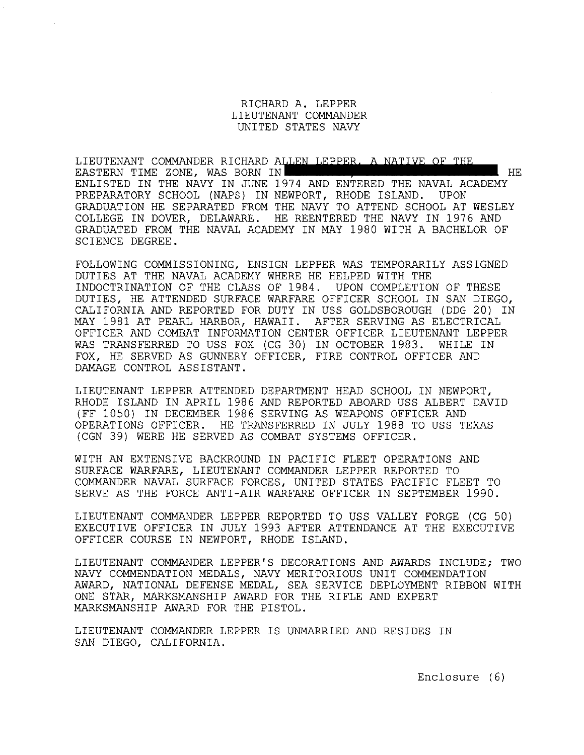RICHARD A. LEPPER LIEUTENANT COMMANDER UNITED STATES NAVY

LIEUTENANT COMMANDER RICHARD ALLEN LEPPER. A NATIVE OF THE EASTERN TIME ZONE, WAS BORN IN **HELL HELL HELL HELL HELL HELL HELL** HE ENLISTED IN THE NAVY IN JUNE 1974 AND ENTERED THE NAVAL ACADEMY PREPARATORY SCHOOL (NAPS) IN NEWPORT, RHODE ISLAND. UPON GRADUATION HE SEPARATED FROM THE NAVY TO ATTEND SCHOOL AT WESLEY COLLEGE IN DOVER, DELAWARE. HE REENTERED THE NAVY IN 1976 AND GRADUATED FROM THE NAVAL ACADEMY IN MAY 1980 WITH A BACHELOR OF SCIENCE DEGREE.

FOLLOWING COMMISSIONING, ENSIGN LEPPER WAS TEMPORARILY ASSIGNED DUTIES AT THE NAVAL ACADEMY WHERE HE HELPED WITH THE INDOCTRINATION OF THE CLASS OF 1984. UPON COMPLETION OF THESE DUTIES, HE ATTENDED SURFACE WARFARE OFFICER SCHOOL IN SAN DIEGO, CALIFORNIA AND REPORTED FOR DUTY IN USS GOLDSBOROUGH (DDG 20) IN MAY 1981 AT PEARL HARBOR, HAWAII. AFTER SERVING AS ELECTRICAL OFFICER AND COMBAT INFORMATION CENTER OFFICER LIEUTENANT LEPPER WAS TRANSFERRED TO USS FOX (CG 30) IN OCTOBER 1983. WHILE IN FOX, HE SERVED AS GUNNERY OFFICER, FIRE CONTROL OFFICER AND DAMAGE CONTROL ASSISTANT.

LIEUTENANT LEPPER ATTENDED DEPARTMENT HEAD SCHOOL IN NEWPORT, RHODE ISLAND IN APRIL 1986 AND REPORTED ABOARD USS ALBERT DAVID (FF 1050) IN DECEMBER 1986 SERVING AS WEAPONS OFFICER AND OPERATIONS OFFICER. HE TRANSFERRED IN JULY 1988 TO USS TEXAS (CGN 39) WERE HE SERVED AS COMBAT SYSTEMS OFFICER.

WITH AN EXTENSIVE BACKROUND IN PACIFIC FLEET OPERATIONS AND SURFACE WARFARE, LIEUTENANT COMMANDER LEPPER REPORTED TO COMMANDER NAVAL SURFACE FORCES, UNITED STATES PACIFIC FLEET TO SERVE AS THE FORCE ANTI-AIR WARFARE OFFICER IN SEPTEMBER 1990.

LIEUTENANT COMMANDER LEPPER REPORTED TO USS VALLEY FORGE (CG 50) EXECUTIVE OFFICER IN JULY 1993 AFTER ATTENDANCE AT THE EXECUTIVE OFFICER COURSE IN NEWPORT, RHODE ISLAND.

LIEUTENANT COMMANDER LEPPER'S DECORATIONS AND AWARDS INCLUDE; TWO NAVY COMMENDATION MEDALS, NAVY MERITORIOUS UNIT COMMENDATION AWARD, NATIONAL DEFENSE MEDAL, SEA SERVICE DEPLOYMENT RIBBON WITH ONE STAR, MARKSMANSHIP AWARD FOR THE RIFLE AND EXPERT MARKSMANSHIP AWARD FOR THE PISTOL.

LIEUTENANT COMMANDER LEPPER IS UNMARRIED AND RESIDES IN SAN DIEGO, CALIFORNIA.

Enclosure (6)